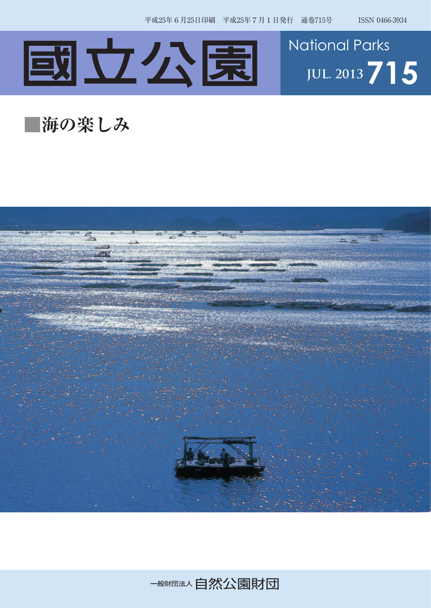



## **■海の楽しみ**